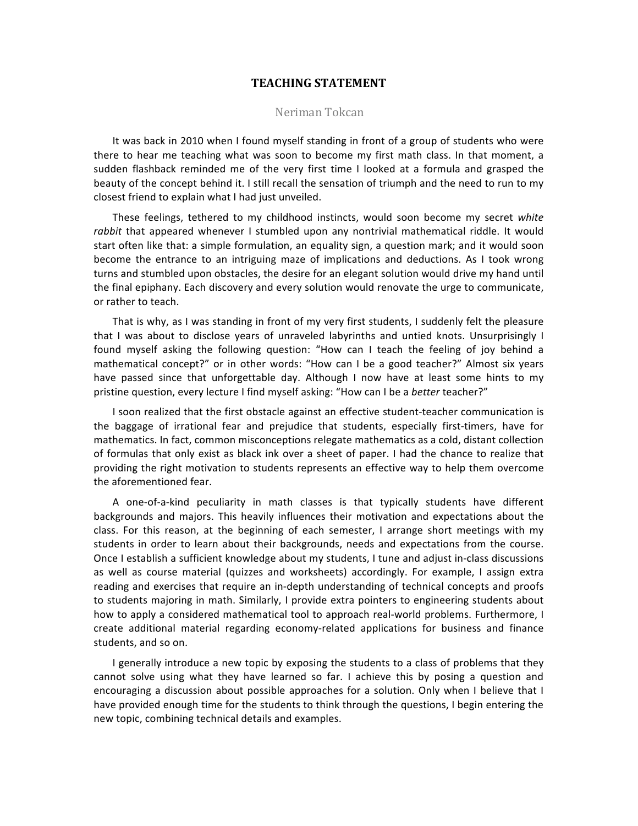### **TEACHING STATEMENT**

### Neriman Tokcan

It was back in 2010 when I found myself standing in front of a group of students who were there to hear me teaching what was soon to become my first math class. In that moment, a sudden flashback reminded me of the very first time I looked at a formula and grasped the beauty of the concept behind it. I still recall the sensation of triumph and the need to run to my closest friend to explain what I had just unveiled.

These feelings, tethered to my childhood instincts, would soon become my secret white rabbit that appeared whenever I stumbled upon any nontrivial mathematical riddle. It would start often like that: a simple formulation, an equality sign, a question mark; and it would soon become the entrance to an intriguing maze of implications and deductions. As I took wrong turns and stumbled upon obstacles, the desire for an elegant solution would drive my hand until the final epiphany. Each discovery and every solution would renovate the urge to communicate, or rather to teach.

That is why, as I was standing in front of my very first students, I suddenly felt the pleasure that I was about to disclose years of unraveled labyrinths and untied knots. Unsurprisingly I found myself asking the following question: "How can I teach the feeling of joy behind a mathematical concept?" or in other words: "How can I be a good teacher?" Almost six years have passed since that unforgettable day. Although I now have at least some hints to my pristine question, every lecture I find myself asking: "How can I be a *better* teacher?"

I soon realized that the first obstacle against an effective student-teacher communication is the baggage of irrational fear and prejudice that students, especially first-timers, have for mathematics. In fact, common misconceptions relegate mathematics as a cold, distant collection of formulas that only exist as black ink over a sheet of paper. I had the chance to realize that providing the right motivation to students represents an effective way to help them overcome the aforementioned fear.

A one-of-a-kind peculiarity in math classes is that typically students have different backgrounds and majors. This heavily influences their motivation and expectations about the class. For this reason, at the beginning of each semester, I arrange short meetings with my students in order to learn about their backgrounds, needs and expectations from the course. Once I establish a sufficient knowledge about my students, I tune and adjust in-class discussions as well as course material (quizzes and worksheets) accordingly. For example, I assign extra reading and exercises that require an in-depth understanding of technical concepts and proofs to students majoring in math. Similarly, I provide extra pointers to engineering students about how to apply a considered mathematical tool to approach real-world problems. Furthermore, I create additional material regarding economy-related applications for business and finance students, and so on.

I generally introduce a new topic by exposing the students to a class of problems that they cannot solve using what they have learned so far. I achieve this by posing a question and encouraging a discussion about possible approaches for a solution. Only when I believe that I have provided enough time for the students to think through the questions, I begin entering the new topic, combining technical details and examples.